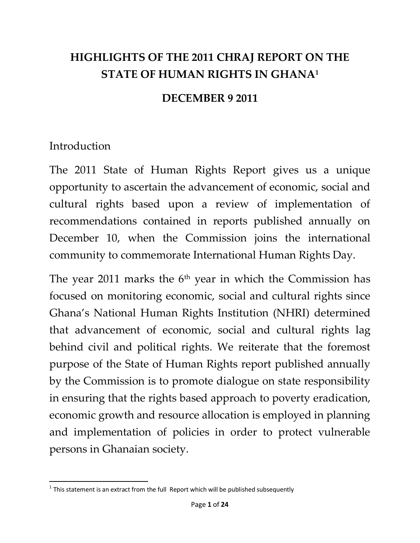# **HIGHLIGHTS OF THE 2011 CHRAJ REPORT ON THE STATE OF HUMAN RIGHTS IN GHANA<sup>1</sup>**

#### **DECEMBER 9 2011**

#### **Introduction**

The 2011 State of Human Rights Report gives us a unique opportunity to ascertain the advancement of economic, social and cultural rights based upon a review of implementation of recommendations contained in reports published annually on December 10, when the Commission joins the international community to commemorate International Human Rights Day.

The year 2011 marks the  $6<sup>th</sup>$  year in which the Commission has focused on monitoring economic, social and cultural rights since Ghana's National Human Rights Institution (NHRI) determined that advancement of economic, social and cultural rights lag behind civil and political rights. We reiterate that the foremost purpose of the State of Human Rights report published annually by the Commission is to promote dialogue on state responsibility in ensuring that the rights based approach to poverty eradication, economic growth and resource allocation is employed in planning and implementation of policies in order to protect vulnerable persons in Ghanaian society.

 $\overline{\phantom{a}}$  $^1$  This statement is an extract from the full Report which will be published subsequently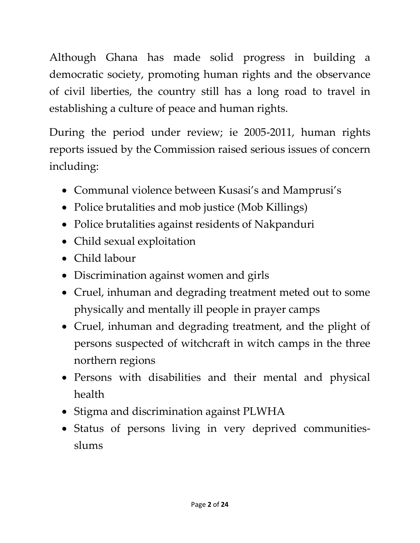Although Ghana has made solid progress in building a democratic society, promoting human rights and the observance of civil liberties, the country still has a long road to travel in establishing a culture of peace and human rights.

During the period under review; ie 2005-2011, human rights reports issued by the Commission raised serious issues of concern including:

- Communal violence between Kusasi's and Mamprusi's
- Police brutalities and mob justice (Mob Killings)
- Police brutalities against residents of Nakpanduri
- Child sexual exploitation
- Child labour
- Discrimination against women and girls
- Cruel, inhuman and degrading treatment meted out to some physically and mentally ill people in prayer camps
- Cruel, inhuman and degrading treatment, and the plight of persons suspected of witchcraft in witch camps in the three northern regions
- Persons with disabilities and their mental and physical health
- Stigma and discrimination against PLWHA
- Status of persons living in very deprived communitiesslums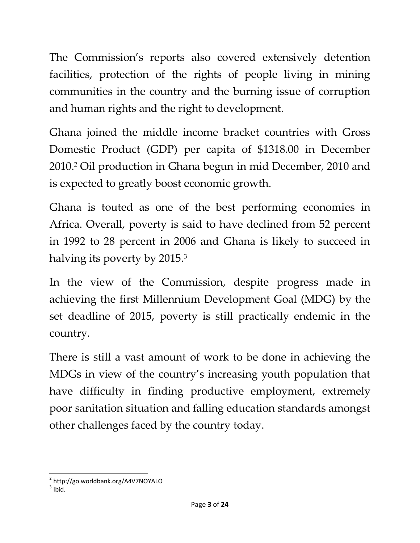The Commission's reports also covered extensively detention facilities, protection of the rights of people living in mining communities in the country and the burning issue of corruption and human rights and the right to development.

Ghana joined the middle income bracket countries with Gross Domestic Product (GDP) per capita of \$1318.00 in December 2010.<sup>2</sup> Oil production in Ghana begun in mid December, 2010 and is expected to greatly boost economic growth.

Ghana is touted as one of the best performing economies in Africa. Overall, poverty is said to have declined from 52 percent in 1992 to 28 percent in 2006 and Ghana is likely to succeed in halving its poverty by 2015.<sup>3</sup>

In the view of the Commission, despite progress made in achieving the first Millennium Development Goal (MDG) by the set deadline of 2015, poverty is still practically endemic in the country.

There is still a vast amount of work to be done in achieving the MDGs in view of the country's increasing youth population that have difficulty in finding productive employment, extremely poor sanitation situation and falling education standards amongst other challenges faced by the country today.

 $\overline{a}$ <sup>2</sup> http://go.worldbank.org/A4V7NOYALO

 $3$  Ibid.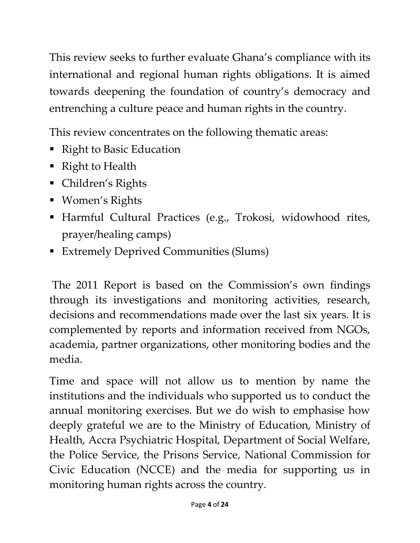This review seeks to further evaluate Ghana's compliance with its international and regional human rights obligations. It is aimed towards deepening the foundation of country's democracy and entrenching a culture peace and human rights in the country.

This review concentrates on the following thematic areas:

- Right to Basic Education
- Right to Health
- Children's Rights
- Women's Rights
- Harmful Cultural Practices (e.g., Trokosi, widowhood rites, prayer/healing camps)
- Extremely Deprived Communities (Slums)

The 2011 Report is based on the Commission's own findings through its investigations and monitoring activities, research, decisions and recommendations made over the last six years. It is complemented by reports and information received from NGOs, academia, partner organizations, other monitoring bodies and the media.

Time and space will not allow us to mention by name the institutions and the individuals who supported us to conduct the annual monitoring exercises. But we do wish to emphasise how deeply grateful we are to the Ministry of Education, Ministry of Health, Accra Psychiatric Hospital, Department of Social Welfare, the Police Service, the Prisons Service, National Commission for Civic Education (NCCE) and the media for supporting us in monitoring human rights across the country.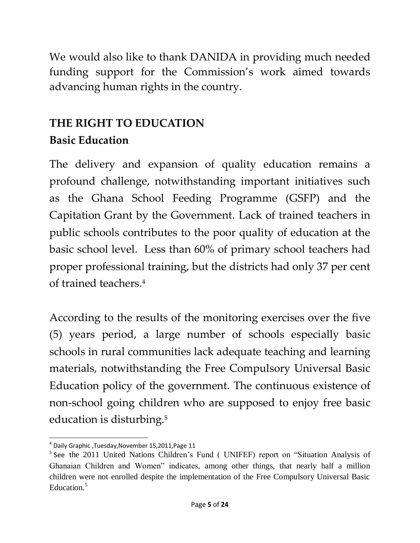We would also like to thank DANIDA in providing much needed funding support for the Commission's work aimed towards advancing human rights in the country.

# **THE RIGHT TO EDUCATION Basic Education**

The delivery and expansion of quality education remains a profound challenge, notwithstanding important initiatives such as the Ghana School Feeding Programme (GSFP) and the Capitation Grant by the Government. Lack of trained teachers in public schools contributes to the poor quality of education at the basic school level. Less than 60% of primary school teachers had proper professional training, but the districts had only 37 per cent of trained teachers.<sup>4</sup>

According to the results of the monitoring exercises over the five (5) years period, a large number of schools especially basic schools in rural communities lack adequate teaching and learning materials, notwithstanding the Free Compulsory Universal Basic Education policy of the government. The continuous existence of non-school going children who are supposed to enjoy free basic education is disturbing.<sup>5</sup>

 $\overline{\phantom{a}}$ 4 Daily Graphic ,Tuesday,November 15,2011,Page 11

<sup>&</sup>lt;sup>5</sup> See the 2011 United Nations Children's Fund ( UNIFEF) report on "Situation Analysis of Ghanaian Children and Women" indicates, among other things, that nearly half a million children were not enrolled despite the implementation of the Free Compulsory Universal Basic Education.<sup>5</sup>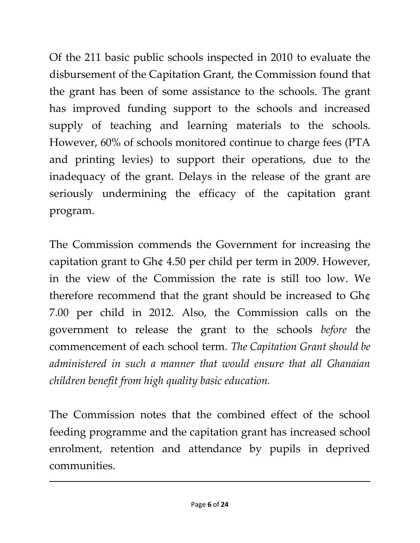Of the 211 basic public schools inspected in 2010 to evaluate the disbursement of the Capitation Grant, the Commission found that the grant has been of some assistance to the schools. The grant has improved funding support to the schools and increased supply of teaching and learning materials to the schools. However, 60% of schools monitored continue to charge fees (PTA and printing levies) to support their operations, due to the inadequacy of the grant. Delays in the release of the grant are seriously undermining the efficacy of the capitation grant program.

The Commission commends the Government for increasing the capitation grant to Gh¢ 4.50 per child per term in 2009. However, in the view of the Commission the rate is still too low. We therefore recommend that the grant should be increased to Gh¢ 7.00 per child in 2012. Also, the Commission calls on the government to release the grant to the schools *before* the commencement of each school term. *The Capitation Grant should be administered in such a manner that would ensure that all Ghanaian children benefit from high quality basic education.*

The Commission notes that the combined effect of the school feeding programme and the capitation grant has increased school enrolment, retention and attendance by pupils in deprived communities.

 $\overline{\phantom{a}}$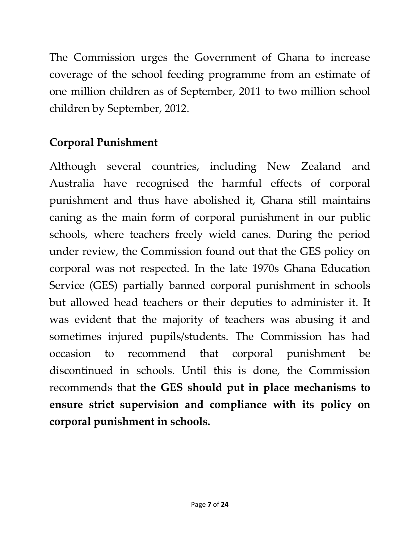The Commission urges the Government of Ghana to increase coverage of the school feeding programme from an estimate of one million children as of September, 2011 to two million school children by September, 2012.

# **Corporal Punishment**

Although several countries, including New Zealand and Australia have recognised the harmful effects of corporal punishment and thus have abolished it, Ghana still maintains caning as the main form of corporal punishment in our public schools, where teachers freely wield canes. During the period under review, the Commission found out that the GES policy on corporal was not respected. In the late 1970s Ghana Education Service (GES) partially banned corporal punishment in schools but allowed head teachers or their deputies to administer it. It was evident that the majority of teachers was abusing it and sometimes injured pupils/students. The Commission has had occasion to recommend that corporal punishment be discontinued in schools. Until this is done, the Commission recommends that **the GES should put in place mechanisms to ensure strict supervision and compliance with its policy on corporal punishment in schools.**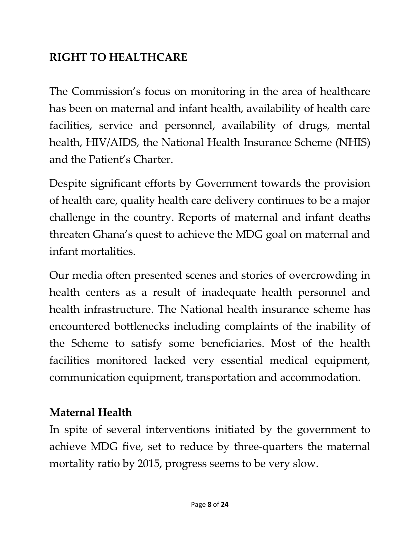# **RIGHT TO HEALTHCARE**

The Commission's focus on monitoring in the area of healthcare has been on maternal and infant health, availability of health care facilities, service and personnel, availability of drugs, mental health, HIV/AIDS, the National Health Insurance Scheme (NHIS) and the Patient's Charter.

Despite significant efforts by Government towards the provision of health care, quality health care delivery continues to be a major challenge in the country. Reports of maternal and infant deaths threaten Ghana's quest to achieve the MDG goal on maternal and infant mortalities.

Our media often presented scenes and stories of overcrowding in health centers as a result of inadequate health personnel and health infrastructure. The National health insurance scheme has encountered bottlenecks including complaints of the inability of the Scheme to satisfy some beneficiaries. Most of the health facilities monitored lacked very essential medical equipment, communication equipment, transportation and accommodation.

### **Maternal Health**

In spite of several interventions initiated by the government to achieve MDG five, set to reduce by three-quarters the maternal mortality ratio by 2015, progress seems to be very slow.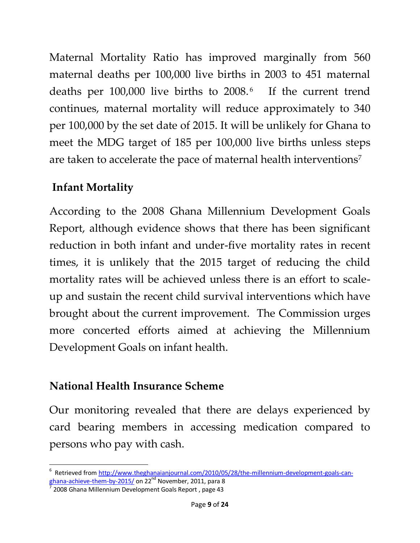Maternal Mortality Ratio has improved marginally from 560 maternal deaths per 100,000 live births in 2003 to 451 maternal deaths per 100,000 live births to 2008.<sup>6</sup> If the current trend continues, maternal mortality will reduce approximately to 340 per 100,000 by the set date of 2015. It will be unlikely for Ghana to meet the MDG target of 185 per 100,000 live births unless steps are taken to accelerate the pace of maternal health interventions<sup>7</sup>

# **Infant Mortality**

According to the 2008 Ghana Millennium Development Goals Report, although evidence shows that there has been significant reduction in both infant and under-five mortality rates in recent times, it is unlikely that the 2015 target of reducing the child mortality rates will be achieved unless there is an effort to scaleup and sustain the recent child survival interventions which have brought about the current improvement. The Commission urges more concerted efforts aimed at achieving the Millennium Development Goals on infant health.

# **National Health Insurance Scheme**

Our monitoring revealed that there are delays experienced by card bearing members in accessing medication compared to persons who pay with cash.

 $\overline{\phantom{a}}$ <sup>6</sup> Retrieved fro[m http://www.theghanaianjournal.com/2010/05/28/the-millennium-development-goals-can](http://www.theghanaianjournal.com/2010/05/28/the-millennium-development-goals-can-ghana-achieve-them-by-2015/)[ghana-achieve-them-by-2015/](http://www.theghanaianjournal.com/2010/05/28/the-millennium-development-goals-can-ghana-achieve-them-by-2015/) on 22nd November, 2011, para 8

<sup>&</sup>lt;sup>7</sup> 2008 Ghana Millennium Development Goals Report, page 43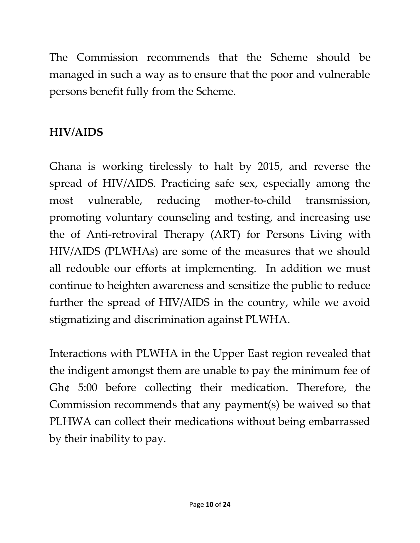The Commission recommends that the Scheme should be managed in such a way as to ensure that the poor and vulnerable persons benefit fully from the Scheme.

# **HIV/AIDS**

Ghana is working tirelessly to halt by 2015, and reverse the spread of HIV/AIDS. Practicing safe sex, especially among the most vulnerable, reducing mother-to-child transmission, promoting voluntary counseling and testing, and increasing use the of Anti-retroviral Therapy (ART) for Persons Living with HIV/AIDS (PLWHAs) are some of the measures that we should all redouble our efforts at implementing. In addition we must continue to heighten awareness and sensitize the public to reduce further the spread of HIV/AIDS in the country, while we avoid stigmatizing and discrimination against PLWHA.

Interactions with PLWHA in the Upper East region revealed that the indigent amongst them are unable to pay the minimum fee of Gh¢ 5:00 before collecting their medication. Therefore, the Commission recommends that any payment(s) be waived so that PLHWA can collect their medications without being embarrassed by their inability to pay.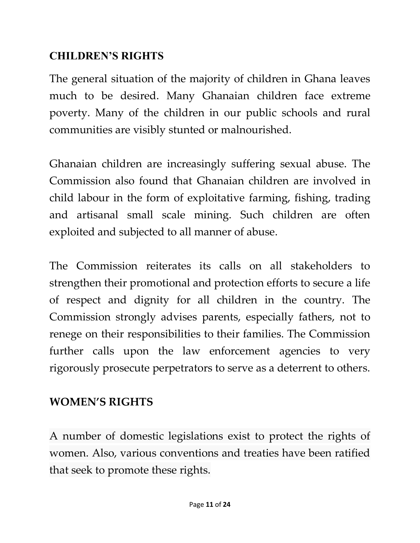### **CHILDREN'S RIGHTS**

The general situation of the majority of children in Ghana leaves much to be desired. Many Ghanaian children face extreme poverty. Many of the children in our public schools and rural communities are visibly stunted or malnourished.

Ghanaian children are increasingly suffering sexual abuse. The Commission also found that Ghanaian children are involved in child labour in the form of exploitative farming, fishing, trading and artisanal small scale mining. Such children are often exploited and subjected to all manner of abuse.

The Commission reiterates its calls on all stakeholders to strengthen their promotional and protection efforts to secure a life of respect and dignity for all children in the country. The Commission strongly advises parents, especially fathers, not to renege on their responsibilities to their families. The Commission further calls upon the law enforcement agencies to very rigorously prosecute perpetrators to serve as a deterrent to others.

### **WOMEN'S RIGHTS**

A number of domestic legislations exist to protect the rights of women. Also, various conventions and treaties have been ratified that seek to promote these rights.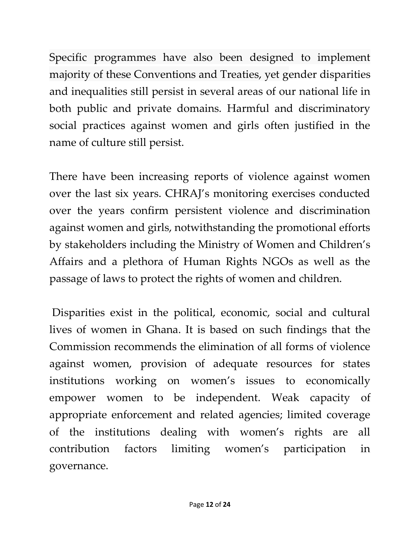Specific programmes have also been designed to implement majority of these Conventions and Treaties, yet gender disparities and inequalities still persist in several areas of our national life in both public and private domains. Harmful and discriminatory social practices against women and girls often justified in the name of culture still persist.

There have been increasing reports of violence against women over the last six years. CHRAJ's monitoring exercises conducted over the years confirm persistent violence and discrimination against women and girls, notwithstanding the promotional efforts by stakeholders including the Ministry of Women and Children's Affairs and a plethora of Human Rights NGOs as well as the passage of laws to protect the rights of women and children.

Disparities exist in the political, economic, social and cultural lives of women in Ghana. It is based on such findings that the Commission recommends the elimination of all forms of violence against women, provision of adequate resources for states institutions working on women's issues to economically empower women to be independent. Weak capacity of appropriate enforcement and related agencies; limited coverage of the institutions dealing with women's rights are all contribution factors limiting women's participation in governance.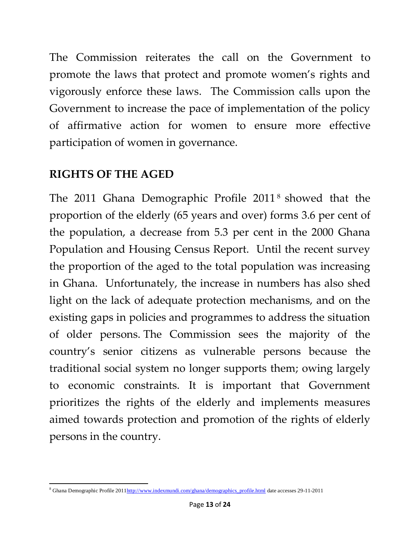The Commission reiterates the call on the Government to promote the laws that protect and promote women's rights and vigorously enforce these laws. The Commission calls upon the Government to increase the pace of implementation of the policy of affirmative action for women to ensure more effective participation of women in governance.

### **RIGHTS OF THE AGED**

The 2011 Ghana Demographic Profile 2011<sup>8</sup> showed that the proportion of the elderly (65 years and over) forms 3.6 per cent of the population, a decrease from 5.3 per cent in the 2000 Ghana Population and Housing Census Report. Until the recent survey the proportion of the aged to the total population was increasing in Ghana. Unfortunately, the increase in numbers has also shed light on the lack of adequate protection mechanisms, and on the existing gaps in policies and programmes to address the situation of older persons. The Commission sees the majority of the country's senior citizens as vulnerable persons because the traditional social system no longer supports them; owing largely to economic constraints. It is important that Government prioritizes the rights of the elderly and implements measures aimed towards protection and promotion of the rights of elderly persons in the country.

 $\overline{a}$ <sup>8</sup> Ghana Demographic Profile 201[1http://www.indexmundi.com/ghana/demographics\\_profile.html](http://www.indexmundi.com/ghana/demographics_profile.html) date accesses 29-11-2011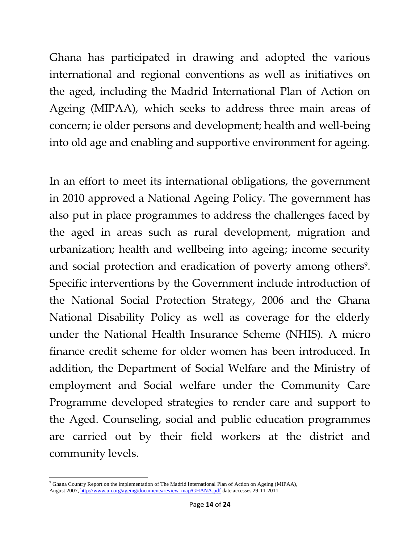Ghana has participated in drawing and adopted the various international and regional conventions as well as initiatives on the aged, including the Madrid International Plan of Action on Ageing (MIPAA), which seeks to address three main areas of concern; ie older persons and development; health and well-being into old age and enabling and supportive environment for ageing.

In an effort to meet its international obligations, the government in 2010 approved a National Ageing Policy. The government has also put in place programmes to address the challenges faced by the aged in areas such as rural development, migration and urbanization; health and wellbeing into ageing; income security and social protection and eradication of poverty among others<sup>9</sup>. Specific interventions by the Government include introduction of the National Social Protection Strategy, 2006 and the Ghana National Disability Policy as well as coverage for the elderly under the National Health Insurance Scheme (NHIS). A micro finance credit scheme for older women has been introduced. In addition, the Department of Social Welfare and the Ministry of employment and Social welfare under the Community Care Programme developed strategies to render care and support to the Aged. Counseling, social and public education programmes are carried out by their field workers at the district and community levels.

 $\overline{a}$ <sup>9</sup> Ghana Country Report on the implementation of The Madrid International Plan of Action on Ageing (MIPAA), August 2007[, http://www.un.org/ageing/documents/review\\_map/GHANA.pdf](http://www.un.org/ageing/documents/review_map/GHANA.pdf) date accesses 29-11-2011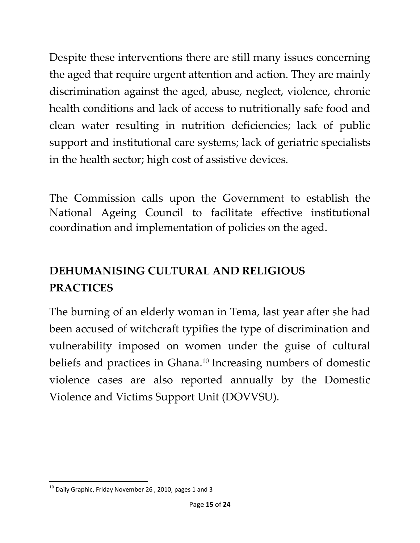Despite these interventions there are still many issues concerning the aged that require urgent attention and action. They are mainly discrimination against the aged, abuse, neglect, violence, chronic health conditions and lack of access to nutritionally safe food and clean water resulting in nutrition deficiencies; lack of public support and institutional care systems; lack of geriatric specialists in the health sector; high cost of assistive devices.

The Commission calls upon the Government to establish the National Ageing Council to facilitate effective institutional coordination and implementation of policies on the aged.

# **DEHUMANISING CULTURAL AND RELIGIOUS PRACTICES**

The burning of an elderly woman in Tema, last year after she had been accused of witchcraft typifies the type of discrimination and vulnerability imposed on women under the guise of cultural beliefs and practices in Ghana.<sup>10</sup> Increasing numbers of domestic violence cases are also reported annually by the Domestic Violence and Victims Support Unit (DOVVSU).

 $\overline{\phantom{a}}$  $10$  Daily Graphic, Friday November 26, 2010, pages 1 and 3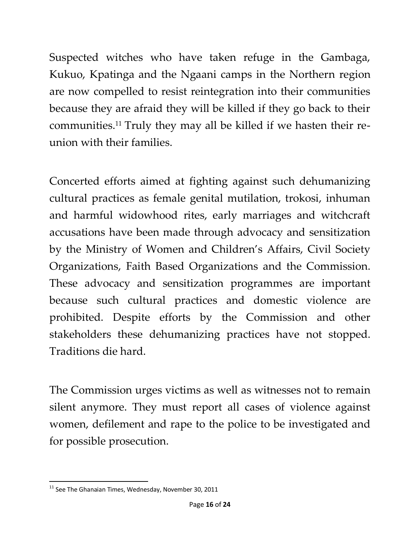Suspected witches who have taken refuge in the Gambaga, Kukuo, Kpatinga and the Ngaani camps in the Northern region are now compelled to resist reintegration into their communities because they are afraid they will be killed if they go back to their communities.<sup>11</sup> Truly they may all be killed if we hasten their reunion with their families.

Concerted efforts aimed at fighting against such dehumanizing cultural practices as female genital mutilation, trokosi, inhuman and harmful widowhood rites, early marriages and witchcraft accusations have been made through advocacy and sensitization by the Ministry of Women and Children's Affairs, Civil Society Organizations, Faith Based Organizations and the Commission. These advocacy and sensitization programmes are important because such cultural practices and domestic violence are prohibited. Despite efforts by the Commission and other stakeholders these dehumanizing practices have not stopped. Traditions die hard.

The Commission urges victims as well as witnesses not to remain silent anymore. They must report all cases of violence against women, defilement and rape to the police to be investigated and for possible prosecution.

 $\overline{\phantom{a}}$  $11$  See The Ghanaian Times, Wednesday, November 30, 2011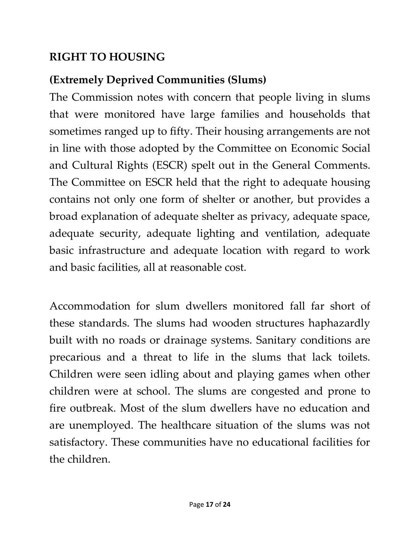# **RIGHT TO HOUSING**

# **(Extremely Deprived Communities (Slums)**

The Commission notes with concern that people living in slums that were monitored have large families and households that sometimes ranged up to fifty. Their housing arrangements are not in line with those adopted by the Committee on Economic Social and Cultural Rights (ESCR) spelt out in the General Comments. The Committee on ESCR held that the right to adequate housing contains not only one form of shelter or another, but provides a broad explanation of adequate shelter as privacy, adequate space, adequate security, adequate lighting and ventilation, adequate basic infrastructure and adequate location with regard to work and basic facilities, all at reasonable cost.

Accommodation for slum dwellers monitored fall far short of these standards. The slums had wooden structures haphazardly built with no roads or drainage systems. Sanitary conditions are precarious and a threat to life in the slums that lack toilets. Children were seen idling about and playing games when other children were at school. The slums are congested and prone to fire outbreak. Most of the slum dwellers have no education and are unemployed. The healthcare situation of the slums was not satisfactory. These communities have no educational facilities for the children.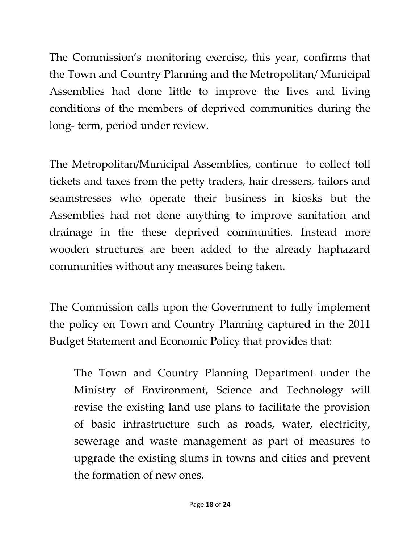The Commission's monitoring exercise, this year, confirms that the Town and Country Planning and the Metropolitan/ Municipal Assemblies had done little to improve the lives and living conditions of the members of deprived communities during the long- term, period under review.

The Metropolitan/Municipal Assemblies, continue to collect toll tickets and taxes from the petty traders, hair dressers, tailors and seamstresses who operate their business in kiosks but the Assemblies had not done anything to improve sanitation and drainage in the these deprived communities. Instead more wooden structures are been added to the already haphazard communities without any measures being taken.

The Commission calls upon the Government to fully implement the policy on Town and Country Planning captured in the 2011 Budget Statement and Economic Policy that provides that:

The Town and Country Planning Department under the Ministry of Environment, Science and Technology will revise the existing land use plans to facilitate the provision of basic infrastructure such as roads, water, electricity, sewerage and waste management as part of measures to upgrade the existing slums in towns and cities and prevent the formation of new ones.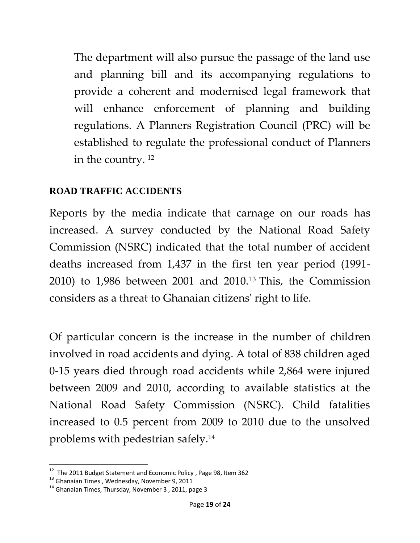The department will also pursue the passage of the land use and planning bill and its accompanying regulations to provide a coherent and modernised legal framework that will enhance enforcement of planning and building regulations. A Planners Registration Council (PRC) will be established to regulate the professional conduct of Planners in the country. <sup>12</sup>

#### **ROAD TRAFFIC ACCIDENTS**

Reports by the media indicate that carnage on our roads has increased. A survey conducted by the National Road Safety Commission (NSRC) indicated that the total number of accident deaths increased from 1,437 in the first ten year period (1991- 2010) to 1,986 between 2001 and 2010.<sup>13</sup> This, the Commission considers as a threat to Ghanaian citizens' right to life.

Of particular concern is the increase in the number of children involved in road accidents and dying. A total of 838 children aged 0-15 years died through road accidents while 2,864 were injured between 2009 and 2010, according to available statistics at the National Road Safety Commission (NSRC). Child fatalities increased to 0.5 percent from 2009 to 2010 due to the unsolved problems with pedestrian safely.<sup>14</sup>

 12 The 2011 Budget Statement and Economic Policy , Page 98, Item 362

<sup>13</sup> Ghanaian Times , Wednesday, November 9, 2011

 $14$  Ghanaian Times, Thursday, November 3, 2011, page 3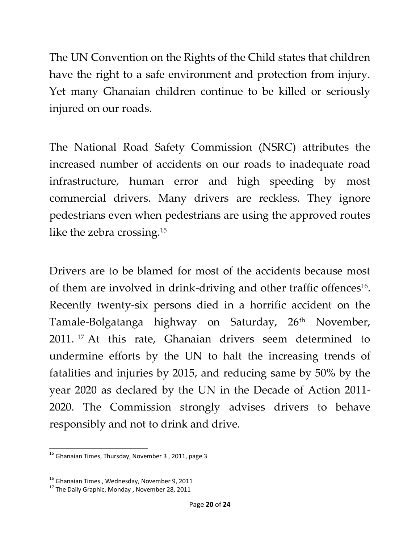The UN Convention on the Rights of the Child states that children have the right to a safe environment and protection from injury. Yet many Ghanaian children continue to be killed or seriously injured on our roads.

The National Road Safety Commission (NSRC) attributes the increased number of accidents on our roads to inadequate road infrastructure, human error and high speeding by most commercial drivers. Many drivers are reckless. They ignore pedestrians even when pedestrians are using the approved routes like the zebra crossing.<sup>15</sup>

Drivers are to be blamed for most of the accidents because most of them are involved in drink-driving and other traffic offences<sup>16</sup>. Recently twenty-six persons died in a horrific accident on the Tamale-Bolgatanga highway on Saturday, 26<sup>th</sup> November, 2011. <sup>17</sup> At this rate, Ghanaian drivers seem determined to undermine efforts by the UN to halt the increasing trends of fatalities and injuries by 2015, and reducing same by 50% by the year 2020 as declared by the UN in the Decade of Action 2011- 2020. The Commission strongly advises drivers to behave responsibly and not to drink and drive.

 $\overline{\phantom{a}}$  $^{15}$  Ghanaian Times, Thursday, November 3, 2011, page 3

<sup>&</sup>lt;sup>16</sup> Ghanaian Times, Wednesday, November 9, 2011

 $17$  The Dailv Graphic, Monday, November 28, 2011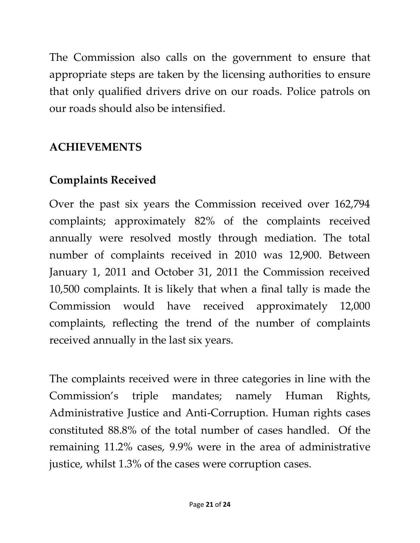The Commission also calls on the government to ensure that appropriate steps are taken by the licensing authorities to ensure that only qualified drivers drive on our roads. Police patrols on our roads should also be intensified.

# **ACHIEVEMENTS**

# **Complaints Received**

Over the past six years the Commission received over 162,794 complaints; approximately 82% of the complaints received annually were resolved mostly through mediation. The total number of complaints received in 2010 was 12,900. Between January 1, 2011 and October 31, 2011 the Commission received 10,500 complaints. It is likely that when a final tally is made the Commission would have received approximately 12,000 complaints, reflecting the trend of the number of complaints received annually in the last six years.

The complaints received were in three categories in line with the Commission's triple mandates; namely Human Rights, Administrative Justice and Anti-Corruption. Human rights cases constituted 88.8% of the total number of cases handled. Of the remaining 11.2% cases, 9.9% were in the area of administrative justice, whilst 1.3% of the cases were corruption cases.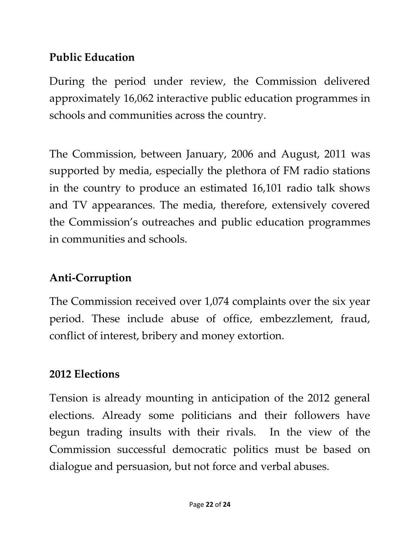# **Public Education**

During the period under review, the Commission delivered approximately 16,062 interactive public education programmes in schools and communities across the country.

The Commission, between January, 2006 and August, 2011 was supported by media, especially the plethora of FM radio stations in the country to produce an estimated 16,101 radio talk shows and TV appearances. The media, therefore, extensively covered the Commission's outreaches and public education programmes in communities and schools.

# **Anti-Corruption**

The Commission received over 1,074 complaints over the six year period. These include abuse of office, embezzlement, fraud, conflict of interest, bribery and money extortion.

#### **2012 Elections**

Tension is already mounting in anticipation of the 2012 general elections. Already some politicians and their followers have begun trading insults with their rivals. In the view of the Commission successful democratic politics must be based on dialogue and persuasion, but not force and verbal abuses.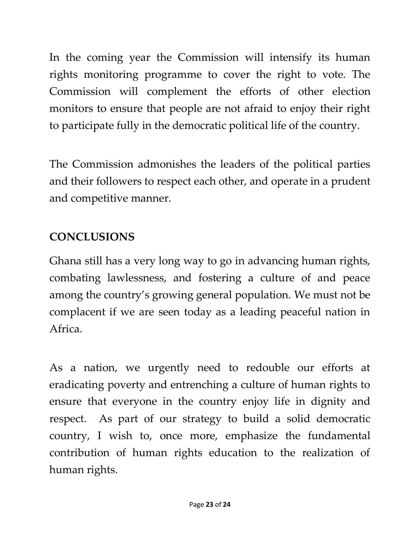In the coming year the Commission will intensify its human rights monitoring programme to cover the right to vote. The Commission will complement the efforts of other election monitors to ensure that people are not afraid to enjoy their right to participate fully in the democratic political life of the country.

The Commission admonishes the leaders of the political parties and their followers to respect each other, and operate in a prudent and competitive manner.

# **CONCLUSIONS**

Ghana still has a very long way to go in advancing human rights, combating lawlessness, and fostering a culture of and peace among the country's growing general population. We must not be complacent if we are seen today as a leading peaceful nation in Africa.

As a nation, we urgently need to redouble our efforts at eradicating poverty and entrenching a culture of human rights to ensure that everyone in the country enjoy life in dignity and respect. As part of our strategy to build a solid democratic country, I wish to, once more, emphasize the fundamental contribution of human rights education to the realization of human rights.